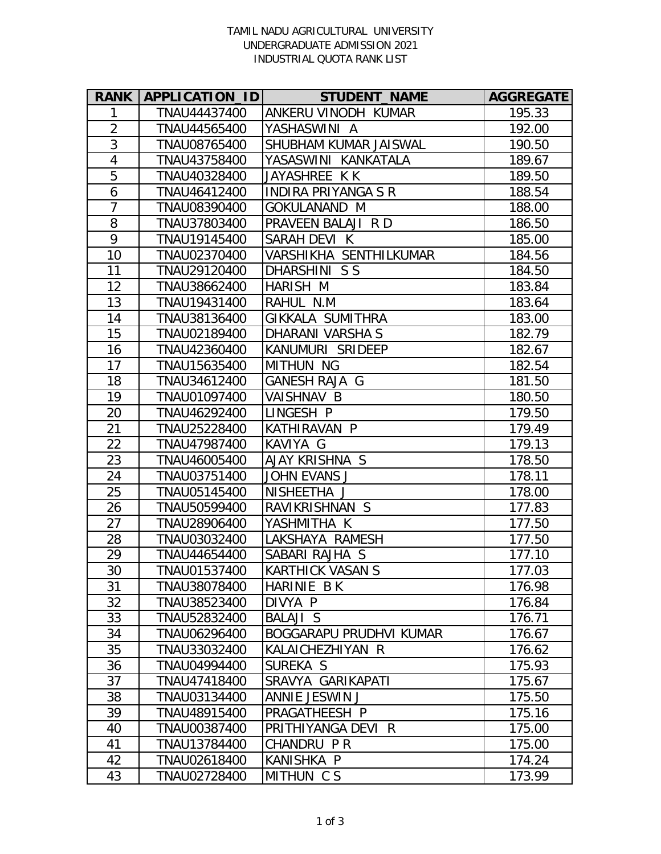## TAMIL NADU AGRICULTURAL UNIVERSITY UNDERGRADUATE ADMISSION 2021 INDUSTRIAL QUOTA RANK LIST

| <b>RANK  </b>  | APPLICATION_ID | <b>STUDENT_NAME</b>            | <b>AGGREGATE</b> |
|----------------|----------------|--------------------------------|------------------|
| 1              | TNAU44437400   | ANKERU VINODH KUMAR            | 195.33           |
| $\overline{2}$ | TNAU44565400   | YASHASWINI A                   | 192.00           |
| $\overline{3}$ | TNAU08765400   | SHUBHAM KUMAR JAISWAL          | 190.50           |
| $\overline{4}$ | TNAU43758400   | YASASWINI KANKATALA            | 189.67           |
| $\overline{5}$ | TNAU40328400   | JAYASHREE K K                  | 189.50           |
| 6              | TNAU46412400   | <b>INDIRA PRIYANGA S R</b>     | 188.54           |
| $\overline{7}$ | TNAU08390400   | <b>GOKULANAND M</b>            | 188.00           |
| 8              | TNAU37803400   | PRAVEEN BALAJI R D             | 186.50           |
| $\overline{9}$ | TNAU19145400   | SARAH DEVI K                   | 185.00           |
| 10             | TNAU02370400   | VARSHIKHA SENTHILKUMAR         | 184.56           |
| 11             | TNAU29120400   | DHARSHINI S S                  | 184.50           |
| 12             | TNAU38662400   | HARISH M                       | 183.84           |
| 13             | TNAU19431400   | RAHUL N.M                      | 183.64           |
| 14             | TNAU38136400   | GIKKALA SUMITHRA               | 183.00           |
| 15             | TNAU02189400   | DHARANI VARSHA S               | 182.79           |
| 16             | TNAU42360400   | KANUMURI SRIDEEP               | 182.67           |
| 17             | TNAU15635400   | <b>MITHUN NG</b>               | 182.54           |
| 18             | TNAU34612400   | <b>GANESH RAJA G</b>           | 181.50           |
| 19             | TNAU01097400   | <b>VAISHNAV B</b>              | 180.50           |
| 20             | TNAU46292400   | LINGESH P                      | 179.50           |
| 21             | TNAU25228400   | KATHIRAVAN P                   | 179.49           |
| 22             | TNAU47987400   | KAVIYA G                       | 179.13           |
| 23             | TNAU46005400   | AJAY KRISHNA S                 | 178.50           |
| 24             | TNAU03751400   | <b>JOHN EVANS J</b>            | 178.11           |
| 25             | TNAU05145400   | NISHEETHA J                    | 178.00           |
| 26             | TNAU50599400   | RAVIKRISHNAN S                 | 177.83           |
| 27             | TNAU28906400   | YASHMITHA K                    | 177.50           |
| 28             | TNAU03032400   | LAKSHAYA RAMESH                | 177.50           |
| 29             | TNAU44654400   | SABARI RAJHA S                 | 177.10           |
| 30             | TNAU01537400   | <b>KARTHICK VASAN S</b>        | 177.03           |
| 31             | TNAU38078400   | HARINIE B K                    | 176.98           |
| 32             | TNAU38523400   | DIVYA P                        | 176.84           |
| 33             | TNAU52832400   | <b>BALAJI S</b>                | 176.71           |
| 34             | TNAU06296400   | <b>BOGGARAPU PRUDHVI KUMAR</b> | 176.67           |
| 35             | TNAU33032400   | KALAICHEZHIYAN R               | 176.62           |
| 36             | TNAU04994400   | SUREKA S                       | 175.93           |
| 37             | TNAU47418400   | SRAVYA GARIKAPATI              | 175.67           |
| 38             | TNAU03134400   | ANNIE JESWIN J                 | 175.50           |
| 39             | TNAU48915400   | PRAGATHEESH P                  | 175.16           |
| 40             | TNAU00387400   | PRITHIYANGA DEVI R             | 175.00           |
| 41             | TNAU13784400   | CHANDRU PR                     | 175.00           |
| 42             | TNAU02618400   | KANISHKA P                     | 174.24           |
| 43             | TNAU02728400   | MITHUN CS                      | 173.99           |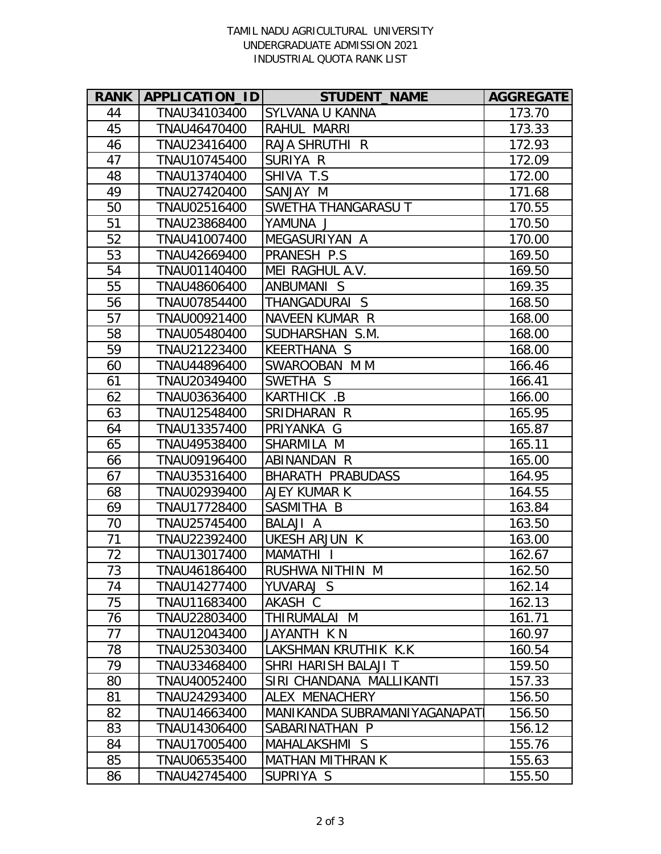## TAMIL NADU AGRICULTURAL UNIVERSITY UNDERGRADUATE ADMISSION 2021 INDUSTRIAL QUOTA RANK LIST

| <b>RANK</b> | <b>APPLICATION IDI</b> | <b>STUDENT_NAME</b>              | <b>AGGREGATE</b> |
|-------------|------------------------|----------------------------------|------------------|
| 44          | TNAU34103400           | SYLVANA U KANNA                  | 173.70           |
| 45          | TNAU46470400           | RAHUL MARRI                      | 173.33           |
| 46          | TNAU23416400           | RAJA SHRUTHI R                   | 172.93           |
| 47          | TNAU10745400           | SURIYA R                         | 172.09           |
| 48          | TNAU13740400           | SHIVA T.S                        | 172.00           |
| 49          | TNAU27420400           | SANJAY M                         | 171.68           |
| 50          | TNAU02516400           | <b>SWETHA THANGARASU T</b>       | 170.55           |
| 51          | TNAU23868400           | YAMUNA J                         | 170.50           |
| 52          | TNAU41007400           | MEGASURIYAN A                    | 170.00           |
| 53          | TNAU42669400           | PRANESH P.S                      | 169.50           |
| 54          | TNAU01140400           | MEI RAGHUL A.V.                  | 169.50           |
| 55          | TNAU48606400           | ANBUMANI S                       | 169.35           |
| 56          | TNAU07854400           | THANGADURAI S                    | 168.50           |
| 57          | TNAU00921400           | NAVEEN KUMAR R                   | 168.00           |
| 58          | TNAU05480400           | SUDHARSHAN S.M.                  | 168.00           |
| 59          | TNAU21223400           | <b>KEERTHANA S</b>               | 168.00           |
| 60          | TNAU44896400           | SWAROOBAN M M                    | 166.46           |
| 61          | TNAU20349400           | SWETHA S                         | 166.41           |
| 62          | TNAU03636400           | KARTHICK .B                      | 166.00           |
| 63          | TNAU12548400           | SRIDHARAN R                      | 165.95           |
| 64          | TNAU13357400           | PRIYANKA G                       | 165.87           |
| 65          | TNAU49538400           | SHARMILA M                       | 165.11           |
| 66          | TNAU09196400           | ABINANDAN R                      | 165.00           |
| 67          | TNAU35316400           | <b>BHARATH PRABUDASS</b>         | 164.95           |
| 68          | TNAU02939400           | AJEY KUMAR K                     | 164.55           |
| 69          | TNAU17728400           | SASMITHA B                       | 163.84           |
| 70          | TNAU25745400           | <b>BALAJI A</b>                  | 163.50           |
| 71          | TNAU22392400           | UKESH ARJUN K                    | 163.00           |
| 72          | TNAU13017400           | <b>MAMATHI</b><br>$\blacksquare$ | 162.67           |
| 73          | TNAU46186400           | RUSHWA NITHIN M                  | 162.50           |
| 74          | TNAU14277400           | YUVARAJ S                        | 162.14           |
| 75          | TNAU11683400           | AKASH C                          | 162.13           |
| 76          | TNAU22803400           | THIRUMALAI M                     | 161.71           |
| 77          | TNAU12043400           | JAYANTH K N                      | 160.97           |
| 78          | TNAU25303400           | LAKSHMAN KRUTHIK K.K             | 160.54           |
| 79          | TNAU33468400           | SHRI HARISH BALAJI T             | 159.50           |
| 80          | TNAU40052400           | SIRI CHANDANA MALLIKANTI         | 157.33           |
| 81          | TNAU24293400           | ALEX MENACHERY                   | 156.50           |
| 82          | TNAU14663400           | MANIKANDA SUBRAMANIYAGANAPAT     | 156.50           |
| 83          | TNAU14306400           | SABARINATHAN P                   | 156.12           |
| 84          | TNAU17005400           | MAHALAKSHMI S                    | 155.76           |
| 85          | TNAU06535400           | <b>MATHAN MITHRAN K</b>          | 155.63           |
| 86          | TNAU42745400           | SUPRIYA S                        | 155.50           |